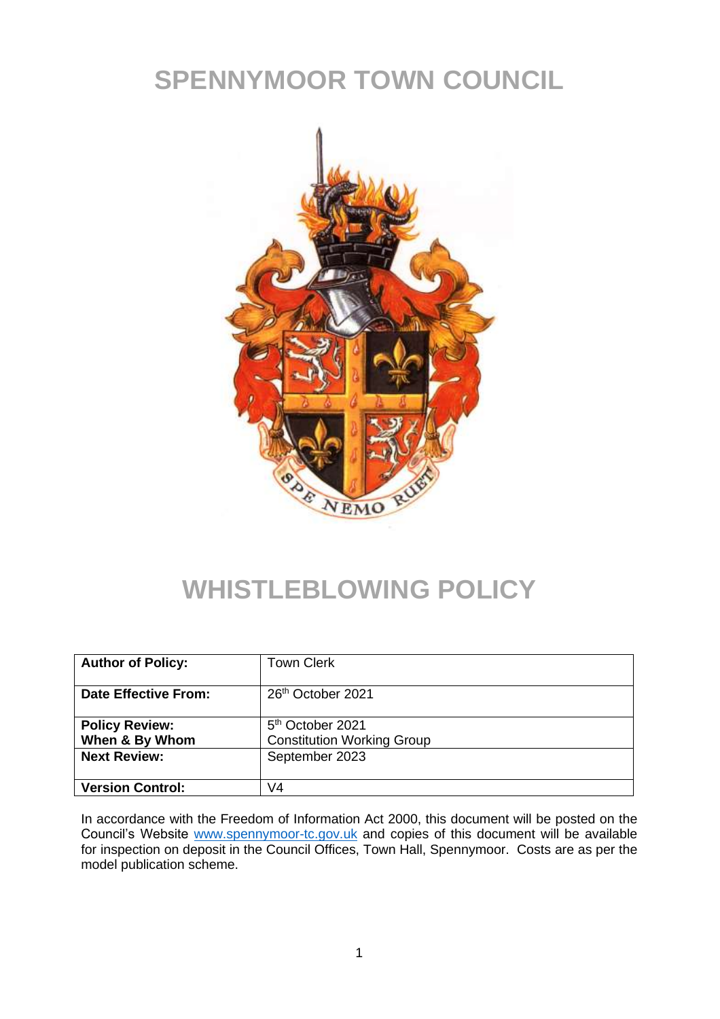# **SPENNYMOOR TOWN COUNCIL**



# **WHISTLEBLOWING POLICY**

| <b>Author of Policy:</b> | <b>Town Clerk</b>                 |
|--------------------------|-----------------------------------|
| Date Effective From:     | 26 <sup>th</sup> October 2021     |
| <b>Policy Review:</b>    | 5 <sup>th</sup> October 2021      |
| When & By Whom           | <b>Constitution Working Group</b> |
| <b>Next Review:</b>      | September 2023                    |
| <b>Version Control:</b>  | V4                                |

In accordance with the Freedom of Information Act 2000, this document will be posted on the Council's Website [www.spennymoor-tc.gov.uk](http://www.spennymoor-tc.gov.uk/) and copies of this document will be available for inspection on deposit in the Council Offices, Town Hall, Spennymoor. Costs are as per the model publication scheme.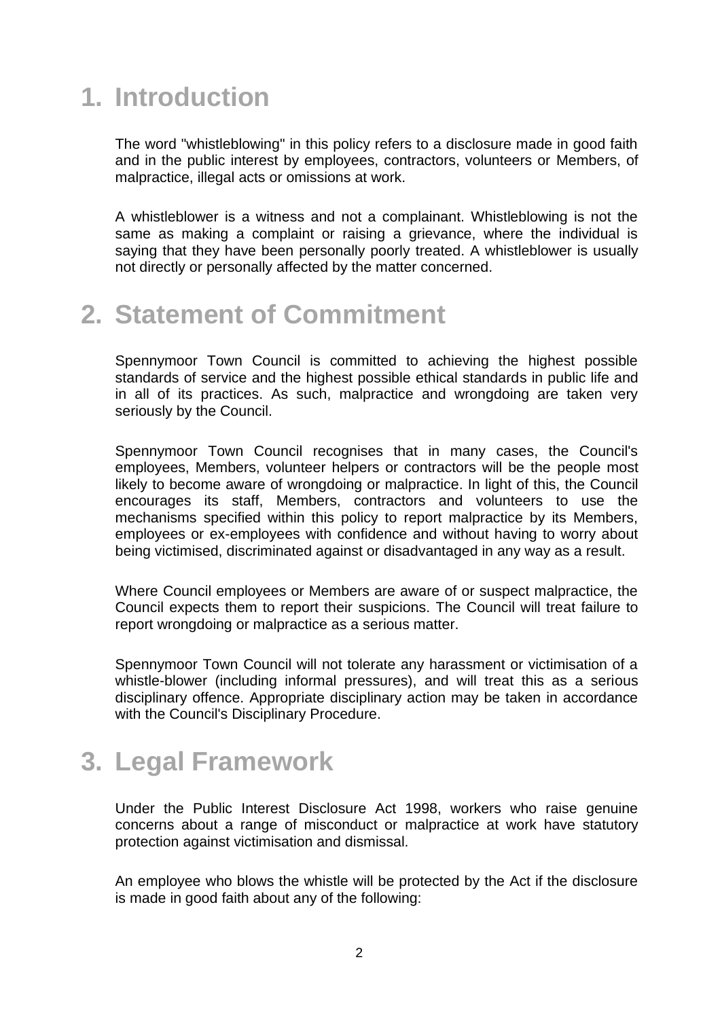# **1. Introduction**

The word "whistleblowing" in this policy refers to a disclosure made in good faith and in the public interest by employees, contractors, volunteers or Members, of malpractice, illegal acts or omissions at work.

A whistleblower is a witness and not a complainant. Whistleblowing is not the same as making a complaint or raising a grievance, where the individual is saying that they have been personally poorly treated. A whistleblower is usually not directly or personally affected by the matter concerned.

#### **2. Statement of Commitment**

Spennymoor Town Council is committed to achieving the highest possible standards of service and the highest possible ethical standards in public life and in all of its practices. As such, malpractice and wrongdoing are taken very seriously by the Council.

Spennymoor Town Council recognises that in many cases, the Council's employees, Members, volunteer helpers or contractors will be the people most likely to become aware of wrongdoing or malpractice. In light of this, the Council encourages its staff, Members, contractors and volunteers to use the mechanisms specified within this policy to report malpractice by its Members, employees or ex-employees with confidence and without having to worry about being victimised, discriminated against or disadvantaged in any way as a result.

Where Council employees or Members are aware of or suspect malpractice, the Council expects them to report their suspicions. The Council will treat failure to report wrongdoing or malpractice as a serious matter.

Spennymoor Town Council will not tolerate any harassment or victimisation of a whistle-blower (including informal pressures), and will treat this as a serious disciplinary offence. Appropriate disciplinary action may be taken in accordance with the Council's Disciplinary Procedure.

# **3. Legal Framework**

Under the Public Interest Disclosure Act 1998, workers who raise genuine concerns about a range of misconduct or malpractice at work have statutory protection against victimisation and dismissal.

An employee who blows the whistle will be protected by the Act if the disclosure is made in good faith about any of the following: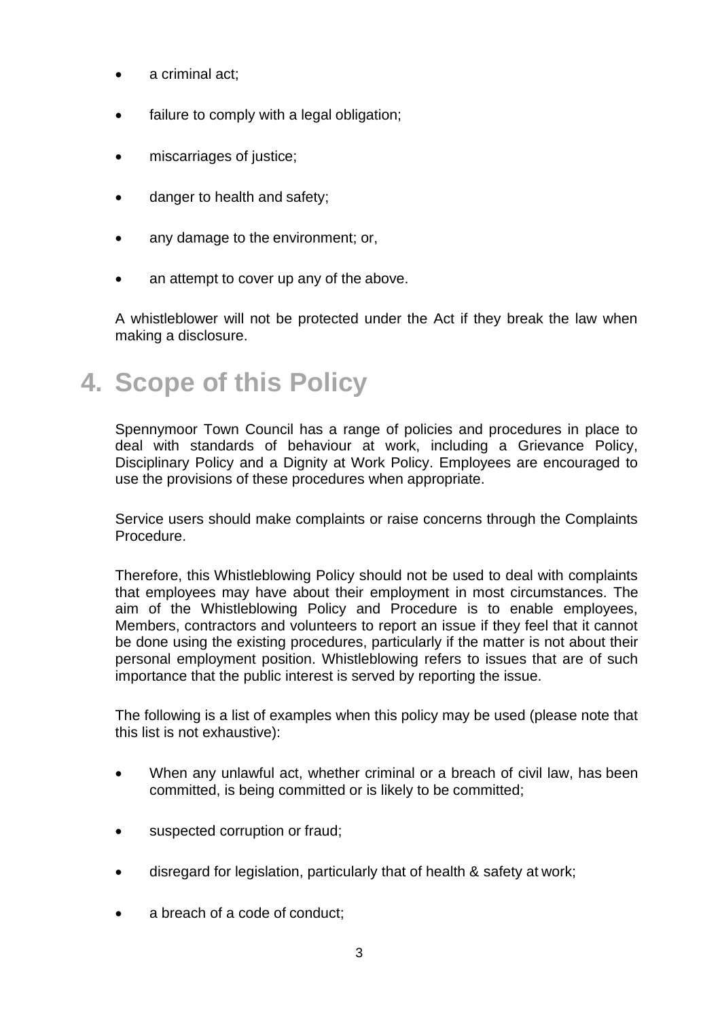- a criminal act:
- failure to comply with a legal obligation;
- miscarriages of justice;
- danger to health and safety;
- any damage to the environment; or,
- an attempt to cover up any of the above.

A whistleblower will not be protected under the Act if they break the law when making a disclosure.

### **4. Scope of this Policy**

Spennymoor Town Council has a range of policies and procedures in place to deal with standards of behaviour at work, including a Grievance Policy, Disciplinary Policy and a Dignity at Work Policy. Employees are encouraged to use the provisions of these procedures when appropriate.

Service users should make complaints or raise concerns through the Complaints Procedure.

Therefore, this Whistleblowing Policy should not be used to deal with complaints that employees may have about their employment in most circumstances. The aim of the Whistleblowing Policy and Procedure is to enable employees, Members, contractors and volunteers to report an issue if they feel that it cannot be done using the existing procedures, particularly if the matter is not about their personal employment position. Whistleblowing refers to issues that are of such importance that the public interest is served by reporting the issue.

The following is a list of examples when this policy may be used (please note that this list is not exhaustive):

- When any unlawful act, whether criminal or a breach of civil law, has been committed, is being committed or is likely to be committed;
- suspected corruption or fraud;
- disregard for legislation, particularly that of health & safety at work;
- a breach of a code of conduct: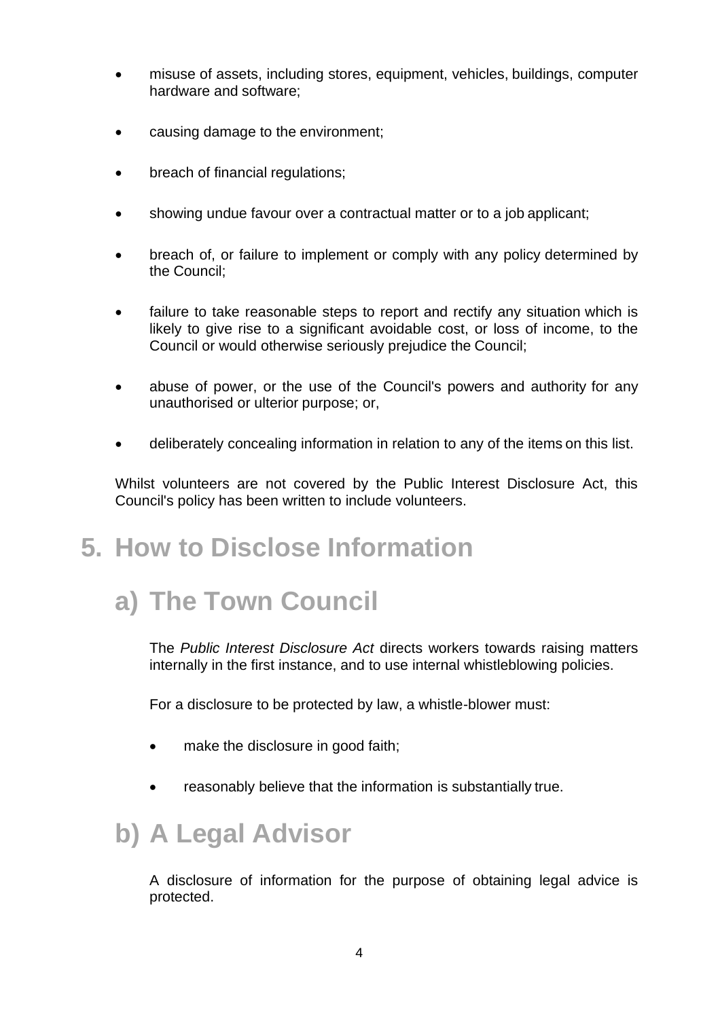- misuse of assets, including stores, equipment, vehicles, buildings, computer hardware and software;
- causing damage to the environment;
- breach of financial regulations;
- showing undue favour over a contractual matter or to a job applicant;
- breach of, or failure to implement or comply with any policy determined by the Council;
- failure to take reasonable steps to report and rectify any situation which is likely to give rise to a significant avoidable cost, or loss of income, to the Council or would otherwise seriously prejudice the Council;
- abuse of power, or the use of the Council's powers and authority for any unauthorised or ulterior purpose; or,
- deliberately concealing information in relation to any of the items on this list.

Whilst volunteers are not covered by the Public Interest Disclosure Act, this Council's policy has been written to include volunteers.

# **5. How to Disclose Information**

# **a) The Town Council**

The *Public Interest Disclosure Act* directs workers towards raising matters internally in the first instance, and to use internal whistleblowing policies.

For a disclosure to be protected by law, a whistle-blower must:

- make the disclosure in good faith;
- reasonably believe that the information is substantially true.

# **b) A Legal Advisor**

A disclosure of information for the purpose of obtaining legal advice is protected.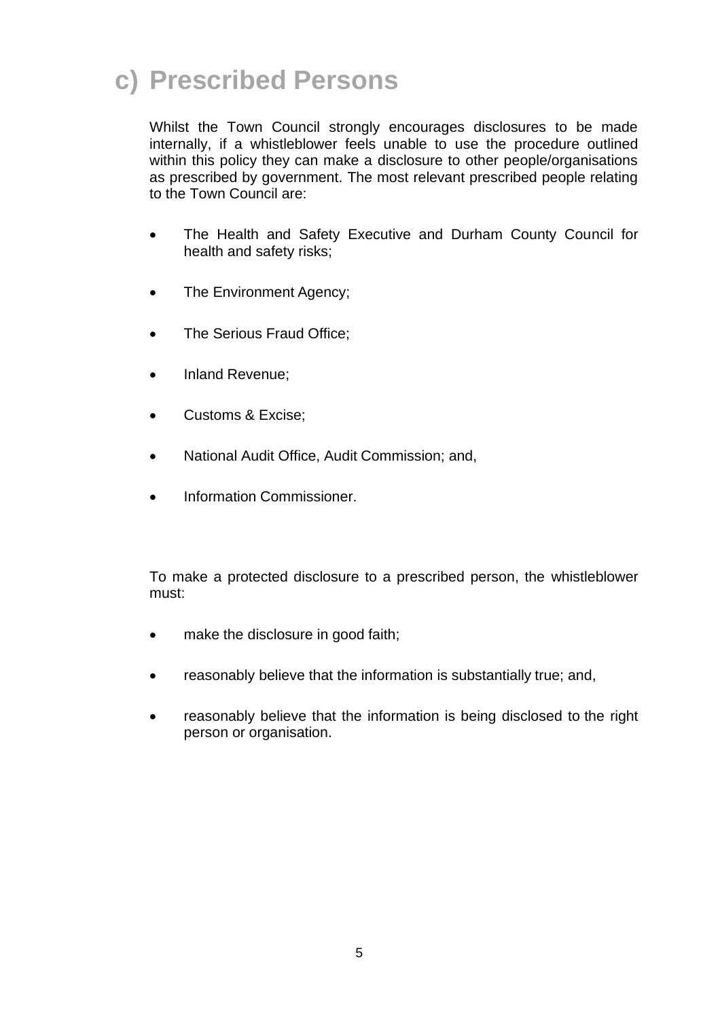# **c) Prescribed Persons**

Whilst the Town Council strongly encourages disclosures to be made internally, if a whistleblower feels unable to use the procedure outlined within this policy they can make a disclosure to other people/organisations as prescribed by government. The most relevant prescribed people relating to the Town Council are:

- The Health and Safety Executive and Durham County Council for health and safety risks;
- The Environment Agency;
- The Serious Fraud Office;
- Inland Revenue;
- Customs & Excise;
- National Audit Office, Audit Commission; and,
- Information Commissioner.

To make a protected disclosure to a prescribed person, the whistleblower must:

- make the disclosure in good faith;
- reasonably believe that the information is substantially true; and,
- reasonably believe that the information is being disclosed to the right person or organisation.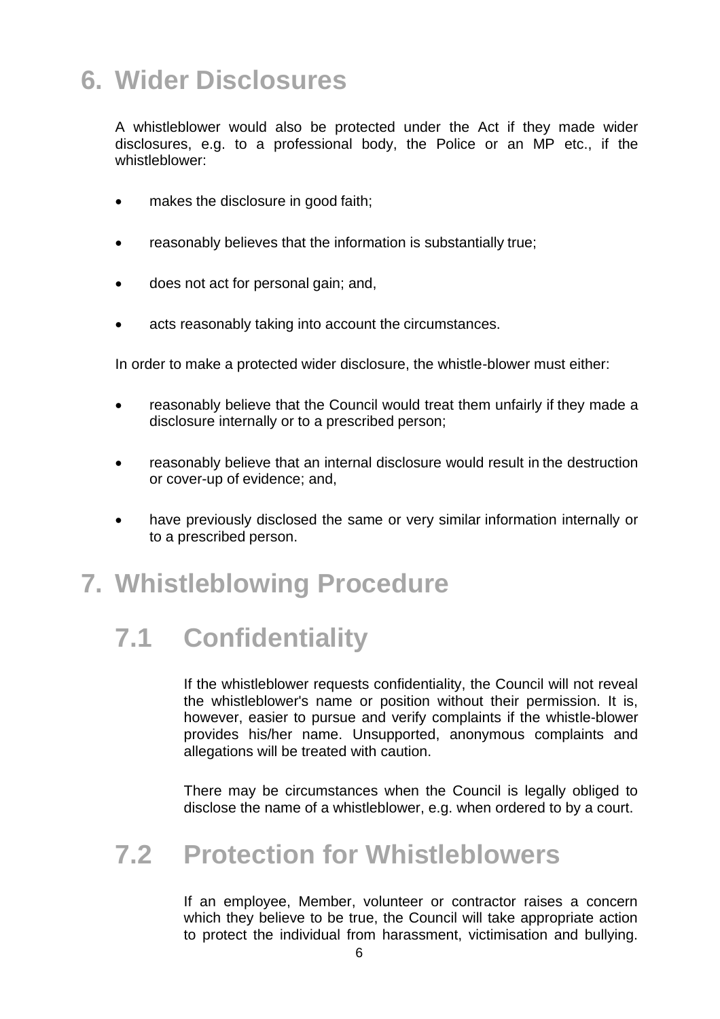# **6. Wider Disclosures**

A whistleblower would also be protected under the Act if they made wider disclosures, e.g. to a professional body, the Police or an MP etc., if the whistleblower:

- makes the disclosure in good faith;
- reasonably believes that the information is substantially true;
- does not act for personal gain; and,
- acts reasonably taking into account the circumstances.

In order to make a protected wider disclosure, the whistle-blower must either:

- reasonably believe that the Council would treat them unfairly if they made a disclosure internally or to a prescribed person;
- reasonably believe that an internal disclosure would result in the destruction or cover-up of evidence; and,
- have previously disclosed the same or very similar information internally or to a prescribed person.

### **7. Whistleblowing Procedure**

# **7.1 Confidentiality**

If the whistleblower requests confidentiality, the Council will not reveal the whistleblower's name or position without their permission. It is, however, easier to pursue and verify complaints if the whistle-blower provides his/her name. Unsupported, anonymous complaints and allegations will be treated with caution.

There may be circumstances when the Council is legally obliged to disclose the name of a whistleblower, e.g. when ordered to by a court.

#### **7.2 Protection for Whistleblowers**

If an employee, Member, volunteer or contractor raises a concern which they believe to be true, the Council will take appropriate action to protect the individual from harassment, victimisation and bullying.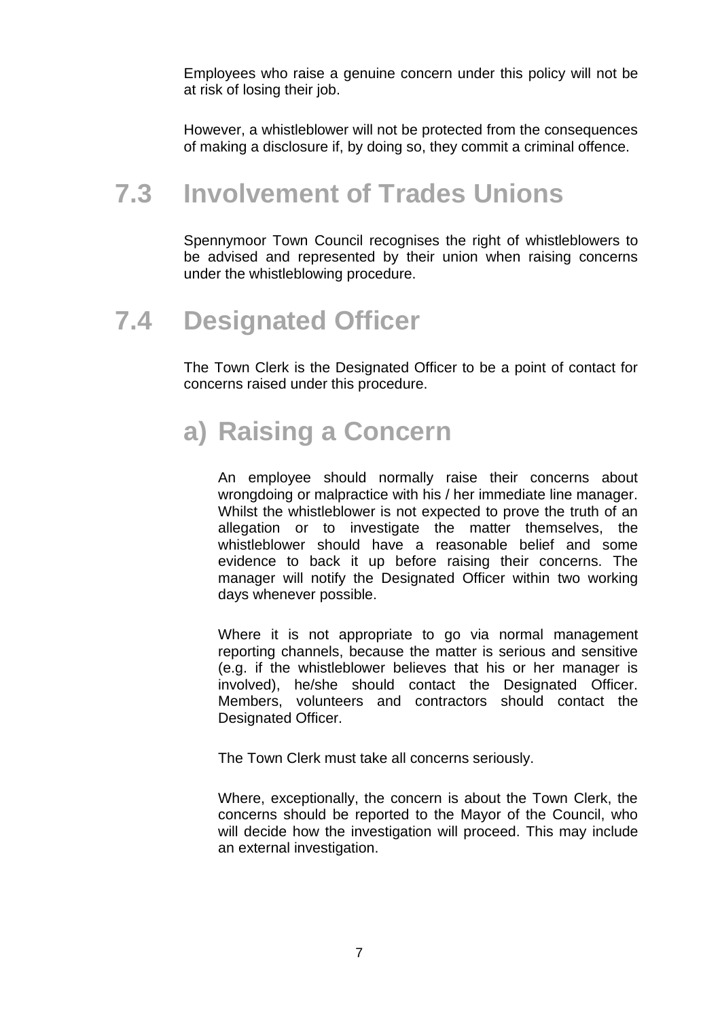Employees who raise a genuine concern under this policy will not be at risk of losing their job.

However, a whistleblower will not be protected from the consequences of making a disclosure if, by doing so, they commit a criminal offence.

#### **7.3 Involvement of Trades Unions**

Spennymoor Town Council recognises the right of whistleblowers to be advised and represented by their union when raising concerns under the whistleblowing procedure.

#### **7.4 Designated Officer**

The Town Clerk is the Designated Officer to be a point of contact for concerns raised under this procedure.

# **a) Raising a Concern**

An employee should normally raise their concerns about wrongdoing or malpractice with his / her immediate line manager. Whilst the whistleblower is not expected to prove the truth of an allegation or to investigate the matter themselves, the whistleblower should have a reasonable belief and some evidence to back it up before raising their concerns. The manager will notify the Designated Officer within two working days whenever possible.

Where it is not appropriate to go via normal management reporting channels, because the matter is serious and sensitive (e.g. if the whistleblower believes that his or her manager is involved), he/she should contact the Designated Officer. Members, volunteers and contractors should contact the Designated Officer.

The Town Clerk must take all concerns seriously.

Where, exceptionally, the concern is about the Town Clerk, the concerns should be reported to the Mayor of the Council, who will decide how the investigation will proceed. This may include an external investigation.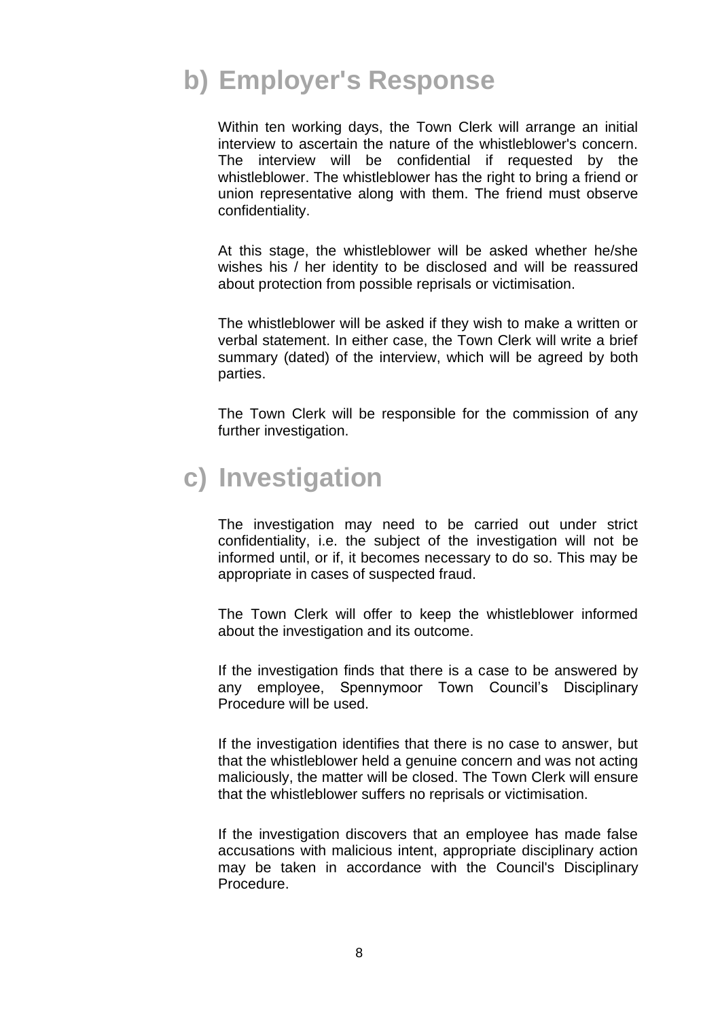# **b) Employer's Response**

Within ten working days, the Town Clerk will arrange an initial interview to ascertain the nature of the whistleblower's concern. The interview will be confidential if requested by the whistleblower. The whistleblower has the right to bring a friend or union representative along with them. The friend must observe confidentiality.

At this stage, the whistleblower will be asked whether he/she wishes his / her identity to be disclosed and will be reassured about protection from possible reprisals or victimisation.

The whistleblower will be asked if they wish to make a written or verbal statement. In either case, the Town Clerk will write a brief summary (dated) of the interview, which will be agreed by both parties.

The Town Clerk will be responsible for the commission of any further investigation.

### **c) Investigation**

The investigation may need to be carried out under strict confidentiality, i.e. the subject of the investigation will not be informed until, or if, it becomes necessary to do so. This may be appropriate in cases of suspected fraud.

The Town Clerk will offer to keep the whistleblower informed about the investigation and its outcome.

If the investigation finds that there is a case to be answered by any employee, Spennymoor Town Council's Disciplinary Procedure will be used.

If the investigation identifies that there is no case to answer, but that the whistleblower held a genuine concern and was not acting maliciously, the matter will be closed. The Town Clerk will ensure that the whistleblower suffers no reprisals or victimisation.

If the investigation discovers that an employee has made false accusations with malicious intent, appropriate disciplinary action may be taken in accordance with the Council's Disciplinary Procedure.